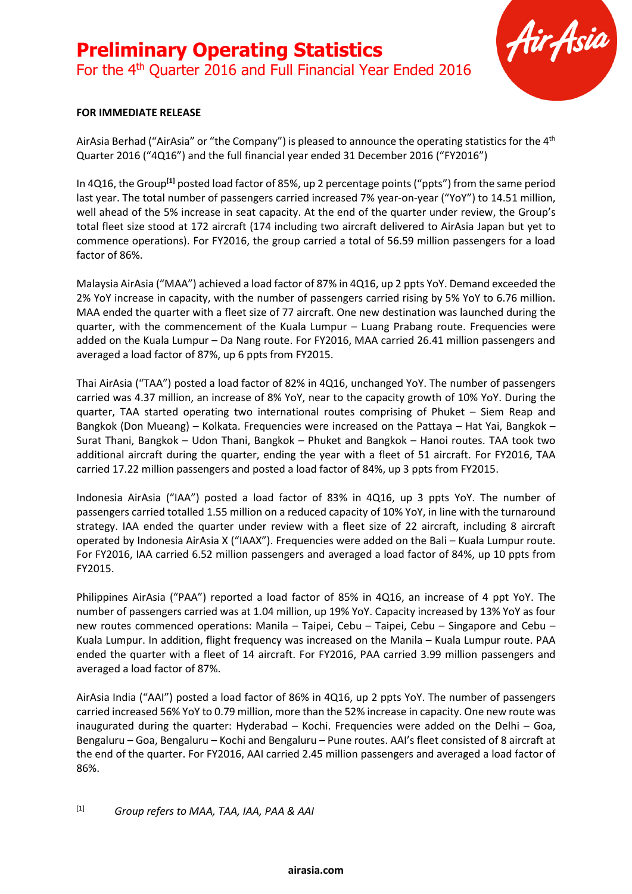## **Preliminary Operating Statistics** For the 4<sup>th</sup> Quarter 2016 and Full Financial Year Ended 2016



### **FOR IMMEDIATE RELEASE**

AirAsia Berhad ("AirAsia" or "the Company") is pleased to announce the operating statistics for the 4<sup>th</sup> Quarter 2016 ("4Q16") and the full financial year ended 31 December 2016 ("FY2016")

In 4Q16, the Group**[1]** posted load factor of 85%, up 2 percentage points ("ppts") from the same period last year. The total number of passengers carried increased 7% year-on-year ("YoY") to 14.51 million, well ahead of the 5% increase in seat capacity. At the end of the quarter under review, the Group's total fleet size stood at 172 aircraft (174 including two aircraft delivered to AirAsia Japan but yet to commence operations). For FY2016, the group carried a total of 56.59 million passengers for a load factor of 86%.

Malaysia AirAsia ("MAA") achieved a load factor of 87% in 4Q16, up 2 ppts YoY. Demand exceeded the 2% YoY increase in capacity, with the number of passengers carried rising by 5% YoY to 6.76 million. MAA ended the quarter with a fleet size of 77 aircraft. One new destination was launched during the quarter, with the commencement of the Kuala Lumpur – Luang Prabang route. Frequencies were added on the Kuala Lumpur – Da Nang route. For FY2016, MAA carried 26.41 million passengers and averaged a load factor of 87%, up 6 ppts from FY2015.

Thai AirAsia ("TAA") posted a load factor of 82% in 4Q16, unchanged YoY. The number of passengers carried was 4.37 million, an increase of 8% YoY, near to the capacity growth of 10% YoY. During the quarter, TAA started operating two international routes comprising of Phuket – Siem Reap and Bangkok (Don Mueang) – Kolkata. Frequencies were increased on the Pattaya – Hat Yai, Bangkok – Surat Thani, Bangkok – Udon Thani, Bangkok – Phuket and Bangkok – Hanoi routes. TAA took two additional aircraft during the quarter, ending the year with a fleet of 51 aircraft. For FY2016, TAA carried 17.22 million passengers and posted a load factor of 84%, up 3 ppts from FY2015.

Indonesia AirAsia ("IAA") posted a load factor of 83% in 4Q16, up 3 ppts YoY. The number of passengers carried totalled 1.55 million on a reduced capacity of 10% YoY, in line with the turnaround strategy. IAA ended the quarter under review with a fleet size of 22 aircraft, including 8 aircraft operated by Indonesia AirAsia X ("IAAX"). Frequencies were added on the Bali – Kuala Lumpur route. For FY2016, IAA carried 6.52 million passengers and averaged a load factor of 84%, up 10 ppts from FY2015.

Philippines AirAsia ("PAA") reported a load factor of 85% in 4Q16, an increase of 4 ppt YoY. The number of passengers carried was at 1.04 million, up 19% YoY. Capacity increased by 13% YoY as four new routes commenced operations: Manila – Taipei, Cebu – Taipei, Cebu – Singapore and Cebu – Kuala Lumpur. In addition, flight frequency was increased on the Manila – Kuala Lumpur route. PAA ended the quarter with a fleet of 14 aircraft. For FY2016, PAA carried 3.99 million passengers and averaged a load factor of 87%.

AirAsia India ("AAI") posted a load factor of 86% in 4Q16, up 2 ppts YoY. The number of passengers carried increased 56% YoY to 0.79 million, more than the 52% increase in capacity. One new route was inaugurated during the quarter: Hyderabad – Kochi. Frequencies were added on the Delhi – Goa, Bengaluru – Goa, Bengaluru – Kochi and Bengaluru – Pune routes. AAI's fleet consisted of 8 aircraft at the end of the quarter. For FY2016, AAI carried 2.45 million passengers and averaged a load factor of 86%.

### [1] *Group refers to MAA, TAA, IAA, PAA & AAI*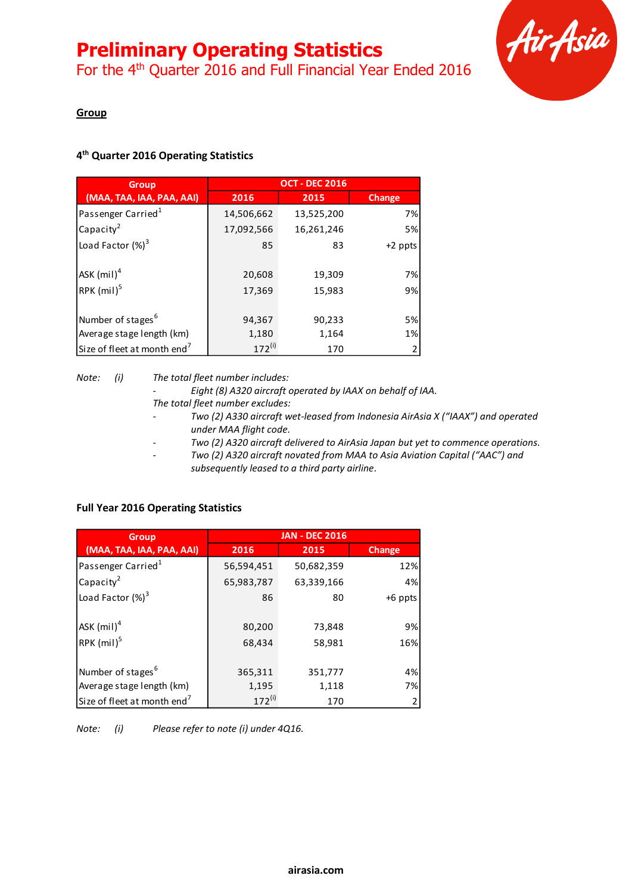For the 4<sup>th</sup> Quarter 2016 and Full Financial Year Ended 2016



### **Group**

### **4 th Quarter 2016 Operating Statistics**

| <b>Group</b>                            | <b>OCT - DEC 2016</b> |                  |          |  |
|-----------------------------------------|-----------------------|------------------|----------|--|
| (MAA, TAA, IAA, PAA, AAI)               | 2016                  | 2015             | Change   |  |
| Passenger Carried <sup>1</sup>          | 14,506,662            | 13,525,200       | 7%       |  |
| Capacity <sup>2</sup>                   | 17,092,566            | 16,261,246       | 5%       |  |
| Load Factor $(\%)^3$                    | 85                    | 83               | +2 ppts  |  |
| ASK $(mil)^4$<br>RPK (mil) <sup>5</sup> | 20,608<br>17,369      | 19,309<br>15,983 | 7%<br>9% |  |
| Number of stages <sup>6</sup>           | 94,367                | 90,233           | 5%       |  |
| Average stage length (km)               | 1,180                 | 1,164            | 1%       |  |
| Size of fleet at month end <sup>7</sup> | $172^{(i)}$           | 170              |          |  |

*Note: (i) The total fleet number includes:*

*- Eight (8) A320 aircraft operated by IAAX on behalf of IAA.*

- *The total fleet number excludes:*
- *- Two (2) A330 aircraft wet-leased from Indonesia AirAsia X ("IAAX") and operated under MAA flight code.*
- *- Two (2) A320 aircraft delivered to AirAsia Japan but yet to commence operations.*
- *- Two (2) A320 aircraft novated from MAA to Asia Aviation Capital ("AAC") and subsequently leased to a third party airline.*

| <b>Group</b>                            | <b>JAN - DEC 2016</b> |                  |                |  |
|-----------------------------------------|-----------------------|------------------|----------------|--|
| (MAA, TAA, IAA, PAA, AAI)               | 2016                  | 2015             | <b>Change</b>  |  |
| Passenger Carried <sup>1</sup>          | 56,594,451            | 50,682,359       | 12%            |  |
| Capacity <sup>2</sup>                   | 65,983,787            | 63,339,166       | 4%             |  |
| Load Factor $(\%)^3$                    | 86                    | 80               | +6 ppts        |  |
| ASK $(mil)^4$<br>RPK $(mil)^5$          | 80,200<br>68,434      | 73,848<br>58,981 | 9%<br>16%      |  |
| Number of stages <sup>6</sup>           | 365,311               | 351,777          | 4%             |  |
| Average stage length (km)               | 1,195                 | 1,118            | 7%             |  |
| Size of fleet at month end <sup>7</sup> | $172^{(i)}$           | 170              | $\overline{2}$ |  |

### **Full Year 2016 Operating Statistics**

*Note: (i) Please refer to note (i) under 4Q16.*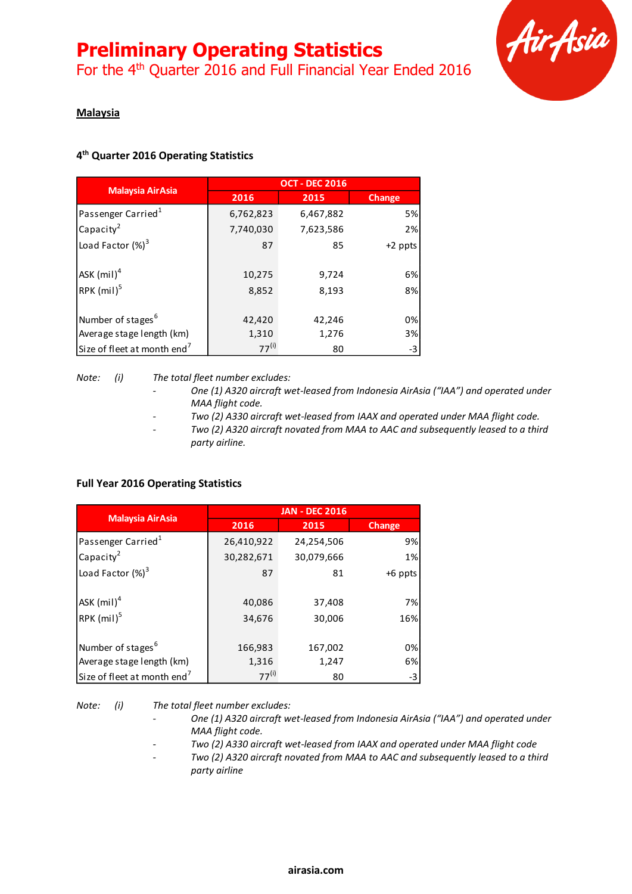For the 4<sup>th</sup> Quarter 2016 and Full Financial Year Ended 2016



### **Malaysia**

### **4 th Quarter 2016 Operating Statistics**

|                                         | <b>OCT - DEC 2016</b> |                |          |  |
|-----------------------------------------|-----------------------|----------------|----------|--|
| <b>Malaysia AirAsia</b>                 | 2016                  | 2015           | Change   |  |
| Passenger Carried <sup>1</sup>          | 6,762,823             | 6,467,882      | 5%       |  |
| Capacity <sup>2</sup>                   | 7,740,030             | 7,623,586      | 2%       |  |
| Load Factor $(\%)^3$                    | 87                    | 85             | +2 ppts  |  |
| ASK $(mil)^4$<br>RPK $(mil)^5$          | 10,275<br>8,852       | 9,724<br>8,193 | 6%<br>8% |  |
|                                         |                       |                |          |  |
| Number of stages <sup>6</sup>           | 42,420                | 42,246         | 0%       |  |
| Average stage length (km)               | 1,310                 | 1,276          | 3%       |  |
| Size of fleet at month end <sup>7</sup> | $77^{(i)}$            | 80             | -3       |  |

*Note: (i) The total fleet number excludes:*

- *- One (1) A320 aircraft wet-leased from Indonesia AirAsia ("IAA") and operated under MAA flight code.*
- *- Two (2) A330 aircraft wet-leased from IAAX and operated under MAA flight code.*
- *- Two (2) A320 aircraft novated from MAA to AAC and subsequently leased to a third party airline.*

### **Full Year 2016 Operating Statistics**

|                                         | <b>JAN - DEC 2016</b> |            |           |  |
|-----------------------------------------|-----------------------|------------|-----------|--|
| <b>Malaysia AirAsia</b>                 | 2016                  | 2015       | Change    |  |
| Passenger Carried <sup>1</sup>          | 26,410,922            | 24,254,506 | 9%        |  |
| Capacity <sup>2</sup>                   | 30,282,671            | 30,079,666 | 1%        |  |
| Load Factor $(\%)^3$                    | 87                    | 81         | $+6$ ppts |  |
| ASK $(mil)^4$                           | 40,086                | 37,408     | 7%        |  |
| RPK $(mil)^5$                           | 34,676                | 30,006     | 16%       |  |
| Number of stages <sup>6</sup>           | 166,983               | 167,002    | 0%        |  |
| Average stage length (km)               | 1,316                 | 1,247      | 6%        |  |
| Size of fleet at month end <sup>7</sup> | $77^{(i)}$            | 80         | -3        |  |

*Note: (i) The total fleet number excludes:*

- *- One (1) A320 aircraft wet-leased from Indonesia AirAsia ("IAA") and operated under MAA flight code.*
- *- Two (2) A330 aircraft wet-leased from IAAX and operated under MAA flight code*
- *- Two (2) A320 aircraft novated from MAA to AAC and subsequently leased to a third party airline*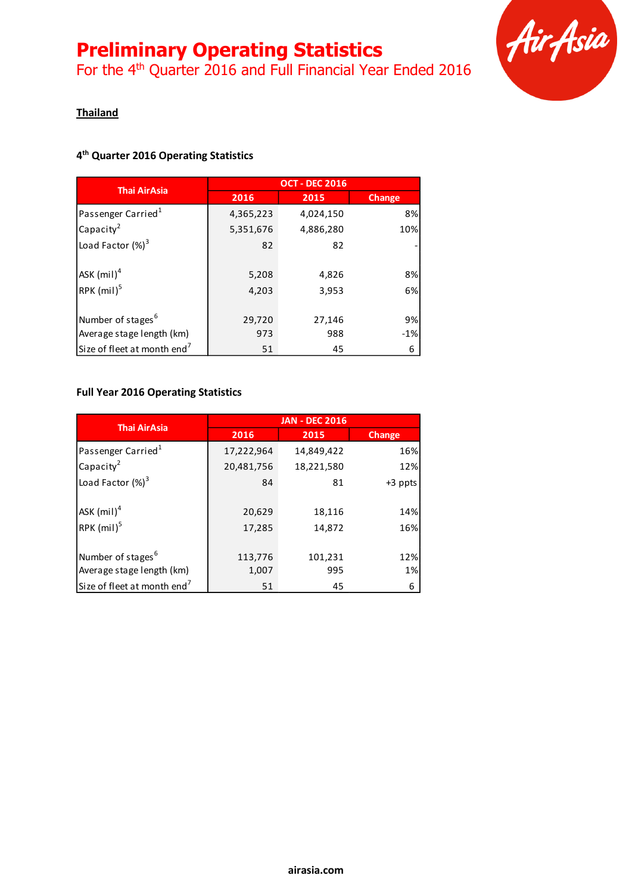For the 4<sup>th</sup> Quarter 2016 and Full Financial Year Ended 2016



### **Thailand**

### **4 th Quarter 2016 Operating Statistics**

|                                         | <b>OCT - DEC 2016</b> |           |               |  |
|-----------------------------------------|-----------------------|-----------|---------------|--|
| <b>Thai AirAsia</b>                     | 2016                  | 2015      | <b>Change</b> |  |
| Passenger Carried <sup>1</sup>          | 4,365,223             | 4,024,150 | 8%            |  |
| Capacity <sup>2</sup>                   | 5,351,676             | 4,886,280 | 10%           |  |
| Load Factor $(\%)^3$                    | 82                    | 82        |               |  |
| $ASK$ (mil) <sup>4</sup>                | 5,208                 | 4,826     | 8%            |  |
| RPK (mil) <sup>5</sup>                  | 4,203                 | 3,953     | 6%            |  |
| Number of stages <sup>6</sup>           | 29,720                | 27,146    | 9%            |  |
| Average stage length (km)               | 973                   | 988       | $-1%$         |  |
| Size of fleet at month end <sup>7</sup> | 51                    | 45        | 6             |  |

### **Full Year 2016 Operating Statistics**

| <b>Thai AirAsia</b>                     | <b>JAN - DEC 2016</b> |            |         |  |
|-----------------------------------------|-----------------------|------------|---------|--|
|                                         | 2016                  | 2015       | Change  |  |
| Passenger Carried <sup>1</sup>          | 17,222,964            | 14,849,422 | 16%     |  |
| Capacity $^2$                           | 20,481,756            | 18,221,580 | 12%     |  |
| Load Factor $(\%)^3$                    | 84                    | 81         | +3 ppts |  |
| ASK $(mil)^4$                           | 20,629                | 18,116     | 14%     |  |
| RPK $(mil)^5$                           | 17,285                | 14,872     | 16%     |  |
| Number of stages <sup>6</sup>           | 113,776               | 101,231    | 12%     |  |
| Average stage length (km)               | 1,007                 | 995        | 1%      |  |
| Size of fleet at month end <sup>7</sup> | 51                    | 45         | 6       |  |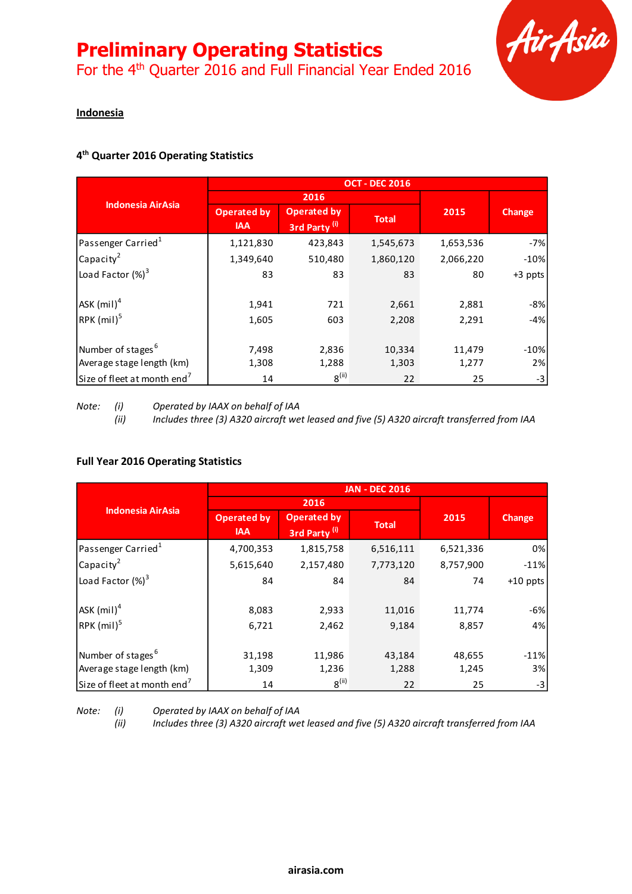For the 4<sup>th</sup> Quarter 2016 and Full Financial Year Ended 2016



### **Indonesia**

### **4 th Quarter 2016 Operating Statistics**

|                                         | <b>OCT - DEC 2016</b>            |                                                |              |           |               |
|-----------------------------------------|----------------------------------|------------------------------------------------|--------------|-----------|---------------|
|                                         |                                  | 2016                                           |              |           |               |
| <b>Indonesia AirAsia</b>                | <b>Operated by</b><br><b>IAA</b> | <b>Operated by</b><br>3rd Party <sup>(i)</sup> | <b>Total</b> | 2015      | <b>Change</b> |
| Passenger Carried <sup>1</sup>          | 1,121,830                        | 423,843                                        | 1,545,673    | 1,653,536 | $-7%$         |
| Capacity <sup>2</sup>                   | 1,349,640                        | 510,480                                        | 1,860,120    | 2,066,220 | $-10%$        |
| Load Factor $(%)^3$                     | 83                               | 83                                             | 83           | 80        | +3 ppts       |
| $ASK$ (mil) <sup>4</sup>                | 1,941                            | 721                                            | 2,661        | 2,881     | $-8%$         |
| $RPK$ (mil) <sup>5</sup>                | 1,605                            | 603                                            | 2,208        | 2,291     | $-4%$         |
| Number of stages <sup>6</sup>           | 7,498                            | 2,836                                          | 10,334       | 11,479    | $-10%$        |
| Average stage length (km)               | 1,308                            | 1,288                                          | 1,303        | 1,277     | 2%            |
| Size of fleet at month end <sup>7</sup> | 14                               | $8^{(ii)}$                                     | 22           | 25        | $-3$          |

*Note: (i) Operated by IAAX on behalf of IAA*

*(ii) Includes three (3) A320 aircraft wet leased and five (5) A320 aircraft transferred from IAA*

#### **Full Year 2016 Operating Statistics**

|                                         | <b>JAN - DEC 2016</b>            |                                                |              |           |            |
|-----------------------------------------|----------------------------------|------------------------------------------------|--------------|-----------|------------|
| <b>Indonesia AirAsia</b>                |                                  | 2016                                           |              |           |            |
|                                         | <b>Operated by</b><br><b>IAA</b> | <b>Operated by</b><br>3rd Party <sup>(i)</sup> | <b>Total</b> | 2015      | Change     |
| Passenger Carried <sup>1</sup>          | 4,700,353                        | 1,815,758                                      | 6,516,111    | 6,521,336 | 0%         |
| Capacity <sup>2</sup>                   | 5,615,640                        | 2,157,480                                      | 7,773,120    | 8,757,900 | $-11%$     |
| Load Factor $(\%)^3$                    | 84                               | 84                                             | 84           | 74        | $+10$ ppts |
| $ASK$ (mil) <sup>4</sup>                | 8,083                            | 2,933                                          | 11,016       | 11,774    | $-6%$      |
| $RPK$ (mil) <sup>5</sup>                | 6,721                            | 2,462                                          | 9,184        | 8,857     | 4%         |
| Number of stages <sup>6</sup>           | 31,198                           | 11,986                                         | 43,184       | 48,655    | $-11%$     |
| Average stage length (km)               | 1,309                            | 1,236                                          | 1,288        | 1,245     | 3%         |
| Size of fleet at month end <sup>7</sup> | 14                               | $8^{(ii)}$                                     | 22           | 25        | $-3$       |

*Note: (i) Operated by IAAX on behalf of IAA*

*(ii) Includes three (3) A320 aircraft wet leased and five (5) A320 aircraft transferred from IAA*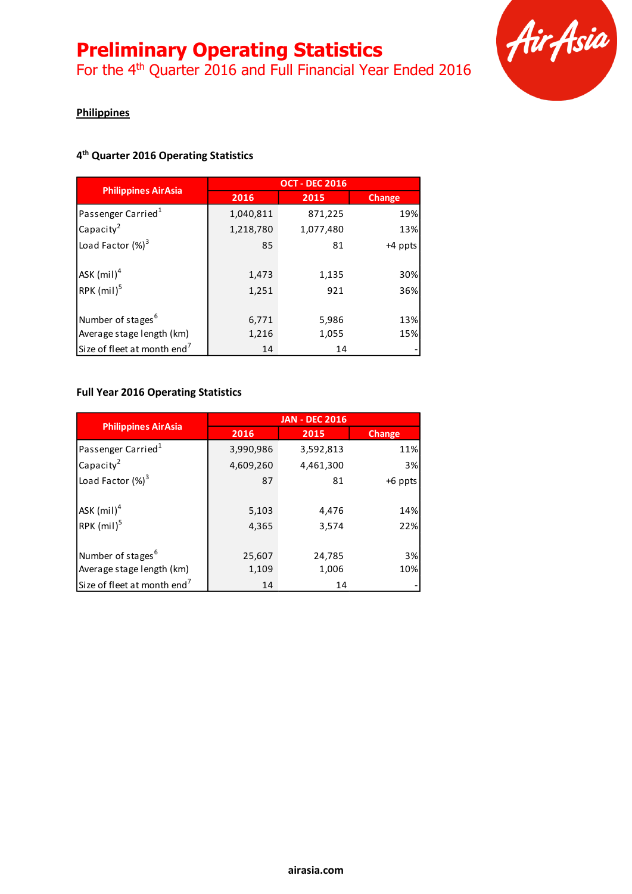For the 4<sup>th</sup> Quarter 2016 and Full Financial Year Ended 2016



### **Philippines**

### **4 th Quarter 2016 Operating Statistics**

|                                         | <b>OCT - DEC 2016</b> |           |               |  |
|-----------------------------------------|-----------------------|-----------|---------------|--|
| <b>Philippines AirAsia</b>              | 2016                  | 2015      | <b>Change</b> |  |
| Passenger Carried <sup>1</sup>          | 1,040,811             | 871,225   | 19%           |  |
| Capacity <sup>2</sup>                   | 1,218,780             | 1,077,480 | 13%           |  |
| Load Factor $(\%)^3$                    | 85                    | 81        | +4 ppts       |  |
| $ASK$ (mil) <sup>4</sup>                | 1,473                 | 1,135     | 30%           |  |
| RPK (mil) <sup>5</sup>                  | 1,251                 | 921       | 36%           |  |
| Number of stages <sup>6</sup>           | 6,771                 | 5,986     | 13%           |  |
| Average stage length (km)               | 1,216                 | 1,055     | 15%           |  |
| Size of fleet at month end <sup>7</sup> | 14                    | 14        |               |  |

### **Full Year 2016 Operating Statistics**

|                                         | <b>JAN - DEC 2016</b> |                |               |  |
|-----------------------------------------|-----------------------|----------------|---------------|--|
| <b>Philippines AirAsia</b>              | 2016                  | 2015           | <b>Change</b> |  |
| Passenger Carried <sup>1</sup>          | 3,990,986             | 3,592,813      | 11%           |  |
| Capacity <sup>2</sup>                   | 4,609,260             | 4,461,300      | 3%            |  |
| Load Factor $(\%)^3$                    | 87                    | 81             | $+6$ ppts     |  |
| ASK $(mil)^4$<br>RPK $(mil)^5$          | 5,103<br>4,365        | 4,476<br>3,574 | 14%<br>22%    |  |
|                                         |                       |                |               |  |
| Number of stages <sup>6</sup>           | 25,607                | 24,785         | 3%            |  |
| Average stage length (km)               | 1,109                 | 1,006          | 10%           |  |
| Size of fleet at month end <sup>7</sup> | 14                    | 14             |               |  |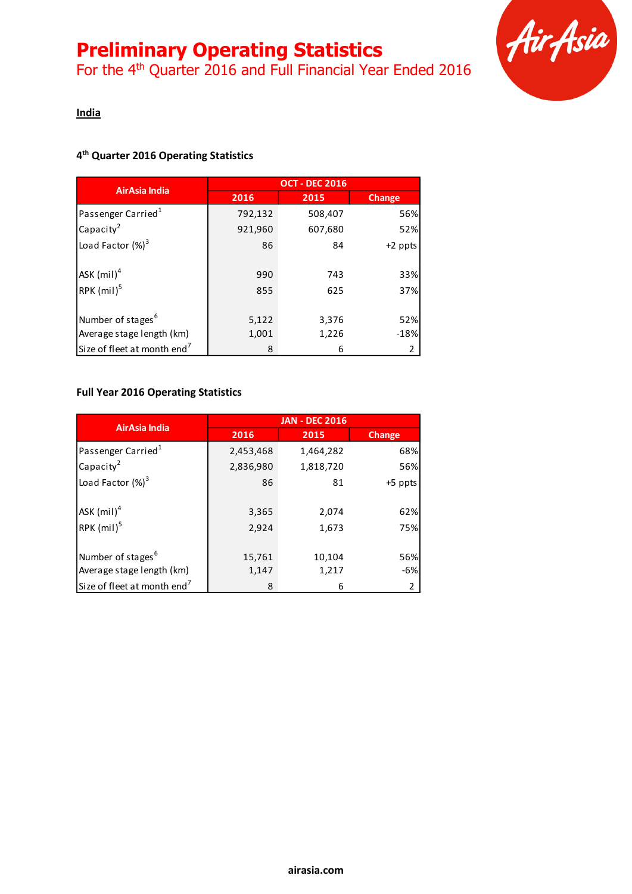For the 4<sup>th</sup> Quarter 2016 and Full Financial Year Ended 2016



### **India**

### **4 th Quarter 2016 Operating Statistics**

|                                         | <b>OCT - DEC 2016</b> |         |               |  |
|-----------------------------------------|-----------------------|---------|---------------|--|
| AirAsia India                           | 2016                  | 2015    | <b>Change</b> |  |
| Passenger Carried <sup>1</sup>          | 792,132               | 508,407 | 56%           |  |
| Capacity <sup>2</sup>                   | 921,960               | 607,680 | 52%           |  |
| Load Factor $(\%)^3$                    | 86                    | 84      | $+2$ ppts     |  |
| ASK $(mil)^4$                           | 990                   | 743     | 33%           |  |
| RPK $(mil)^5$                           | 855                   | 625     | 37%           |  |
| Number of stages <sup>6</sup>           | 5,122                 | 3,376   | 52%           |  |
| Average stage length (km)               | 1,001                 | 1,226   | $-18%$        |  |
| Size of fleet at month end <sup>7</sup> | 8                     | 6       | 2             |  |

### **Full Year 2016 Operating Statistics**

| <b>AirAsia India</b>                    | <b>JAN - DEC 2016</b> |           |                |  |
|-----------------------------------------|-----------------------|-----------|----------------|--|
|                                         | 2016                  | 2015      | <b>Change</b>  |  |
| Passenger Carried <sup>1</sup>          | 2,453,468             | 1,464,282 | 68%            |  |
| Capacity <sup>2</sup>                   | 2,836,980             | 1,818,720 | 56%            |  |
| Load Factor $(\%)^3$                    | 86                    | 81        | +5 ppts        |  |
| ASK (mil) <sup>4</sup>                  | 3,365                 | 2,074     | 62%            |  |
| RPK $(mil)^5$                           | 2,924                 | 1,673     | 75%            |  |
| Number of stages <sup>6</sup>           | 15,761                | 10,104    | 56%            |  |
| Average stage length (km)               | 1,147                 | 1,217     | $-6%$          |  |
| Size of fleet at month end <sup>7</sup> | 8                     | 6         | $\overline{2}$ |  |